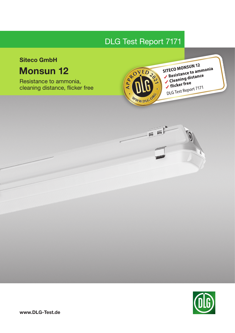# DLG Test Report 7171

# Siteco GmbH

# Monsun 12

Resistance to ammonia, cleaning distance, flicker free



SITECO MONSUN 12 SITECO MONSUN 12<br>Resistance to ammonia Resistance to annually<br>Cleaning distance Cleaning DLG Test Report 7171



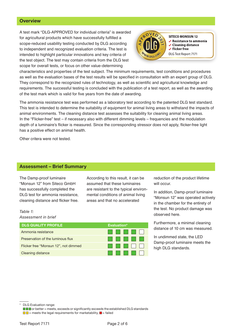# **Overview**

A test mark "DLG-APPROVED for individual criteria" is awarded for agricultural products which have successfully fulfilled a scope-reduced usability testing conducted by DLG according to independent and recognized evaluation criteria. The test is intended to highlight particular innovations and key criteria of the test object. The test may contain criteria from the DLG test scope for overall tests, or focus on other value-determining



**SITECO MONSUN 12**  $\checkmark$  Resistance to ammonia ✔ Cleaning distance  $\checkmark$  flicker free

characteristics and properties of the test subject. The minimum requirements, test conditions and procedures as well as the evaluation bases of the test results will be specified in consultation with an expert group of DLG. They correspond to the recognized rules of technology, as well as scientific and agricultural knowledge and requirements. The successful testing is concluded with the publication of a test report, as well as the awarding of the test mark which is valid for five years from the date of awarding.

The ammonia resistance test was performed as a laboratory test according to the patented DLG test standard. This test is intended to determine the suitability of equipment for animal living areas to withstand the impacts of animal environments. The cleaning distance test assesses the suitability for cleaning animal living areas. In the "Flicker-free" test – if necessary also with different dimming levels – frequencies and the modulation depth of a luminaire's flicker is measured. Since the corresponding stressor does not apply, flicker-free light has a positive effect on animal health.

Other critera were not tested.

## Assessment – Brief Summary

The Damp-proof luminaire "Monsun 12" from Siteco GmbH has successfully completed the DLG test for ammonia resistance, cleaning distance and flicker free.

According to this result, it can be assumed that these luminaires are resistant to the typical environmental conditions of animal living areas and that no accelerated

*Table 1: Assessment in brief*

| <b>DLG QUALITY PROFILE</b>           | Evaluation* |  |  |                             |
|--------------------------------------|-------------|--|--|-----------------------------|
| Ammonia resistance                   |             |  |  | <u> El Bratalho de la f</u> |
| Preservation of the luminous flux    |             |  |  |                             |
| Flicker free "Monsun 12", not dimmed |             |  |  | .                           |
| <b>Cleaning distance</b>             |             |  |  | .                           |

reduction of the product lifetime will occur.

In addition, Damp-proof luminaire "Monsun 12" was operated actively in the chamber for the entirety of the test. No product damage was observed here.

Furthermore, a minimal cleaning distance of 10 cm was measured.

In undimmed state, the LED Damp-proof luminaire meets the high DLG standards.

DLG Evaluation range:

 $\blacksquare$  or better = meets, exceeds or significantly exceeds the established DLG standards  $\square$  = meets the legal requirements for marketability,  $\square$  = failed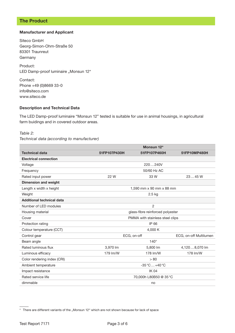# The Product

## Manufacturer and Applicant

Siteco GmbH Georg-Simon-Ohm-Straße 50 83301 Traunreut **Germany** 

Product: LED Damp-proof luminaire "Monsun 12"

Contact: Phone +49 (0)8669 33-0 info@siteco.com www.siteco.de

## Description and Technical Data

The LED Damp-proof luminaire "Monsun 12" tested is suitable for use in animal housings, in agricultural farm buidings and in covered outdoor areas.

### *Table 2:*

*Technical data (according to manufacturer)*

|                                  |                                  | Monsun 12*                       |                        |  |
|----------------------------------|----------------------------------|----------------------------------|------------------------|--|
| <b>Technical data</b>            | 51FP107P430H                     | 51FP107P460H                     | 51FP10MP480H           |  |
| <b>Electrical connection</b>     |                                  |                                  |                        |  |
| Voltage                          |                                  | 220240V                          |                        |  |
| Frequency                        |                                  | 50/60 Hz AC                      |                        |  |
| Rated input power                | 22 W                             | 33 W                             | 2345W                  |  |
| <b>Dimension and weight</b>      |                                  |                                  |                        |  |
| Length x width x height          |                                  | 1,590 mm x 90 mm x 88 mm         |                        |  |
| Weight                           |                                  | $2.5$ kg                         |                        |  |
| <b>Additional technical data</b> |                                  |                                  |                        |  |
| Number of LED modules            |                                  | $\overline{2}$                   |                        |  |
| Housing material                 | glass-fibre reinforced polyester |                                  |                        |  |
| Cover                            | PMMA with stainless steel clips  |                                  |                        |  |
| Protection rating                |                                  | IP 66                            |                        |  |
| Colour temperature (CCT)         |                                  | 4,000 K                          |                        |  |
| Control gear                     | ECG, on-off                      |                                  | ECG, on-off Multilumen |  |
| Beam angle                       |                                  | $140^\circ$                      |                        |  |
| Rated luminous flux              | 3.970 lm                         | 5.800 lm                         | 4,1208,070 lm          |  |
| Luminous efficacy                | 179 lm/W                         | 178 lm/W                         | 178 lm/W               |  |
| Color rendering index (CRI)      |                                  | > 80                             |                        |  |
| Ambient temperature              |                                  | $-35^{\circ}$ C +40 $^{\circ}$ C |                        |  |
| Impact resistance                |                                  | <b>IK04</b>                      |                        |  |
| Rated service life               | 70,000h L80B50 @ 35°C            |                                  |                        |  |
| dimmable                         | no                               |                                  |                        |  |

\* There are different variants of the "Monsun 12" which are not shown because for lack of space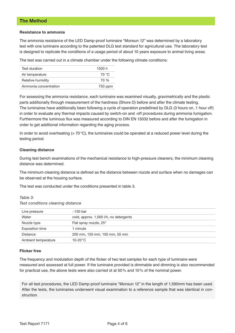# The Method

#### Resistance to ammonia

The ammonia resistance of the LED Damp-proof luminaire "Monsun 12" was determined by a laboratory test with one luminaire according to the patented DLG test standard for agricultural use. The laboratory test is designed to replicate the conditions of a usage period of about 10 years exposure to animal living areas.

The test was carried out in a climate chamber under the following climate conditions:

| Test duration         | 1500 h  |
|-----------------------|---------|
| Air temperature       | 70 °C   |
| Relative humidity     | 70 %    |
| Ammonia concentration | 750 ppm |

For assessing the ammonia resistance, each luminaire was examined visually, gravimetrically and the plastic parts additionally through measurement of the hardness (Shore D) before and after the climate testing. The luminaires have additionally been following a cycle of operation predefined by DLG (3 hours on, 1 hour off) in order to evaluate any thermal impacts caused by switch-on and -off procedures during ammonia fumigation. Furthermore the luminous flux was measured according to DIN EN 13032 before and after the fumigation in order to get additional information regarding the aging process.

In order to avoid overheating  $(> 70 °C)$ , the luminaires could be operated at a reduced power level during the testing period.

## Cleaning distance

During test bench examinations of the mechanical resistance to high-pressure cleaners, the minimum cleaning distance was determined.

The minimum cleaning distance is defined as the distance between nozzle and surface when no damages can be observed at the housing surface.

The test was conducted under the conditions presented in table 3.

*Table 3:*

*Test conditions cleaning distance*

| Line pressure       | $\sim$ 150 bar                         |
|---------------------|----------------------------------------|
| Water               | cold, approx. 1,000 l/h, no detergents |
| Nozzle type         | Flat spray nozzle, 25°                 |
| Exposition time     | minute                                 |
| <b>Distance</b>     | 200 mm, 150 mm, 100 mm, 50 mm          |
| Ambient temperature | $10-20\,^{\circ}\mathrm{C}$            |

#### Flicker free

The frequency and modulation depth of the flicker of two test samples for each type of luminaire were measured and assessed at full power. If the luminaire provided is dimmable and dimming is also recommended for practical use, the above tests were also carried ot at 50% and 10% of the nominal power.

For all test procedures, the LED Damp-proof luminaire "Monsun 12" in the length of 1,590mm has been used. After the tests, the luminaires underwent visual examination to a reference sample that was identical in construction.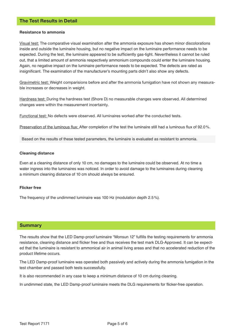# The Test Results in Detail

#### Resistance to ammonia

Visual test: The comparative visual examination after the ammonia exposure has shown minor discolorations inside and outside the luminaire housing, but no negative impact on the luminaire performance needs to be expected. During the test, the luminaire appeared to be sufficiently gas-tight. Nevertheless it cannot be ruled out, that a limited amount of ammonia respectively ammonium compounds could enter the luminaire housing. Again, no negative impact on the luminaire performance needs to be expected. The defects are rated as insignificant. The examination of the manufacturer's mounting parts didn't also show any defects.

Gravimetric test: Weight comparisions before and after the ammonia fumigation have not shown any measurable increases or decreases in weight.

Hardness test: During the hardness test (Shore D) no measurable changes were observed. All determined changes were within the measurement incertainty.

Functional test: No defects were observed. All luminaires worked after the conducted tests.

Preservation of the luminous flux: After completion of the test the luminaire still had a luminous flux of 92.0%.

Based on the results of these tested parameters, the luminaire is evaluated as resistant to ammonia.

#### Cleaning distance

Even at a cleaning distance of only 10 cm, no damages to the luminaire could be observed. At no time a water ingress into the luminaires was noticed. In order to avoid damage to the luminaires during cleaning a minimum cleaning distance of 10 cm should always be ensured.

#### Flicker free

The frequency of the undimmed luminaire was 100 Hz (modulation depth 2.5%).

## **Summary**

The results show that the LED Damp-proof luminaire "Monsun 12" fulfills the testing requirements for ammonia resistance, cleaning distance and flicker free and thus receives the test mark DLG-Approved. It can be expected that the luminaire is resistant to ammonical air in animal living areas and that no accelerated reduction of the product lifetime occurs.

The LED Damp-proof luminaire was operated both passively and actively during the ammonia fumigation in the test chamber and passed both tests successfully.

It is also recommended in any case to keep a minimum distance of 10 cm during cleaning.

In undimmed state, the LED Damp-proof luminaire meets the DLG requirements for flicker-free operation.